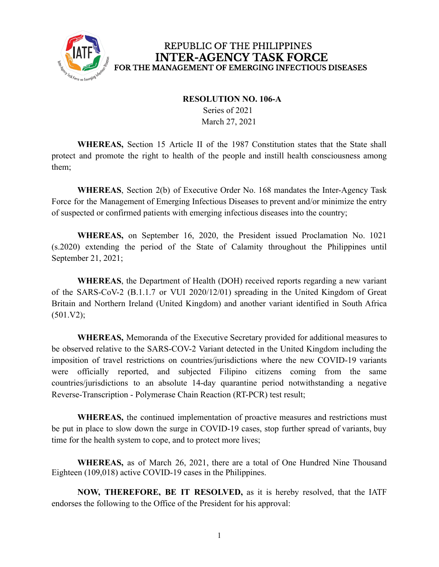

#### **RESOLUTION NO. 106-A**

Series of 2021 March 27, 2021

**WHEREAS,** Section 15 Article II of the 1987 Constitution states that the State shall protect and promote the right to health of the people and instill health consciousness among them;

**WHEREAS**, Section 2(b) of Executive Order No. 168 mandates the Inter-Agency Task Force for the Management of Emerging Infectious Diseases to prevent and/or minimize the entry of suspected or confirmed patients with emerging infectious diseases into the country;

**WHEREAS,** on September 16, 2020, the President issued Proclamation No. 1021 (s.2020) extending the period of the State of Calamity throughout the Philippines until September 21, 2021;

**WHEREAS**, the Department of Health (DOH) received reports regarding a new variant of the SARS-CoV-2 (B.1.1.7 or VUI 2020/12/01) spreading in the United Kingdom of Great Britain and Northern Ireland (United Kingdom) and another variant identified in South Africa  $(501.V2);$ 

**WHEREAS,** Memoranda of the Executive Secretary provided for additional measures to be observed relative to the SARS-COV-2 Variant detected in the United Kingdom including the imposition of travel restrictions on countries/jurisdictions where the new COVID-19 variants were officially reported, and subjected Filipino citizens coming from the same countries/jurisdictions to an absolute 14-day quarantine period notwithstanding a negative Reverse-Transcription - Polymerase Chain Reaction (RT-PCR) test result;

**WHEREAS,** the continued implementation of proactive measures and restrictions must be put in place to slow down the surge in COVID-19 cases, stop further spread of variants, buy time for the health system to cope, and to protect more lives;

**WHEREAS,** as of March 26, 2021, there are a total of One Hundred Nine Thousand Eighteen (109,018) active COVID-19 cases in the Philippines.

**NOW, THEREFORE, BE IT RESOLVED,** as it is hereby resolved, that the IATF endorses the following to the Office of the President for his approval: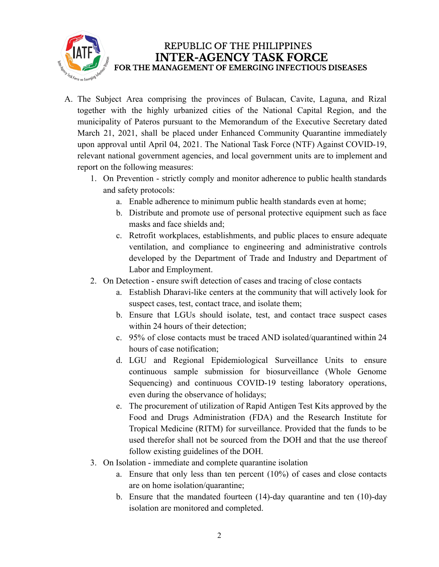

- A. The Subject Area comprising the provinces of Bulacan, Cavite, Laguna, and Rizal together with the highly urbanized cities of the National Capital Region, and the municipality of Pateros pursuant to the Memorandum of the Executive Secretary dated March 21, 2021, shall be placed under Enhanced Community Quarantine immediately upon approval until April 04, 2021. The National Task Force (NTF) Against COVID-19, relevant national government agencies, and local government units are to implement and report on the following measures:
	- 1. On Prevention strictly comply and monitor adherence to public health standards and safety protocols:
		- a. Enable adherence to minimum public health standards even at home;
		- b. Distribute and promote use of personal protective equipment such as face masks and face shields and;
		- c. Retrofit workplaces, establishments, and public places to ensure adequate ventilation, and compliance to engineering and administrative controls developed by the Department of Trade and Industry and Department of Labor and Employment.
	- 2. On Detection ensure swift detection of cases and tracing of close contacts
		- a. Establish Dharavi-like centers at the community that will actively look for suspect cases, test, contact trace, and isolate them;
		- b. Ensure that LGUs should isolate, test, and contact trace suspect cases within 24 hours of their detection;
		- c. 95% of close contacts must be traced AND isolated/quarantined within 24 hours of case notification;
		- d. LGU and Regional Epidemiological Surveillance Units to ensure continuous sample submission for biosurveillance (Whole Genome Sequencing) and continuous COVID-19 testing laboratory operations, even during the observance of holidays;
		- e. The procurement of utilization of Rapid Antigen Test Kits approved by the Food and Drugs Administration (FDA) and the Research Institute for Tropical Medicine (RITM) for surveillance. Provided that the funds to be used therefor shall not be sourced from the DOH and that the use thereof follow existing guidelines of the DOH.
	- 3. On Isolation immediate and complete quarantine isolation
		- a. Ensure that only less than ten percent (10%) of cases and close contacts are on home isolation/quarantine;
		- b. Ensure that the mandated fourteen (14)-day quarantine and ten (10)-day isolation are monitored and completed.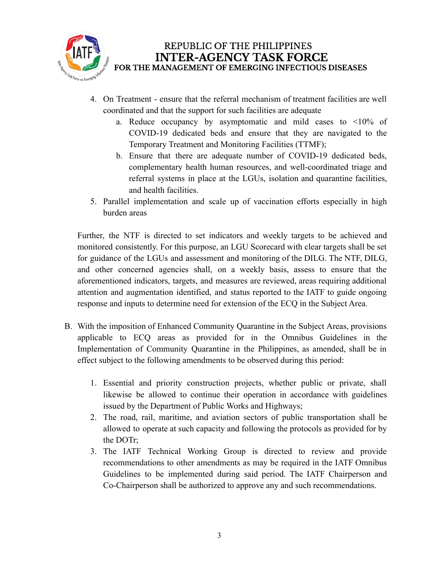

- 4. On Treatment ensure that the referral mechanism of treatment facilities are well coordinated and that the support for such facilities are adequate
	- a. Reduce occupancy by asymptomatic and mild cases to <10% of COVID-19 dedicated beds and ensure that they are navigated to the Temporary Treatment and Monitoring Facilities (TTMF);
	- b. Ensure that there are adequate number of COVID-19 dedicated beds, complementary health human resources, and well-coordinated triage and referral systems in place at the LGUs, isolation and quarantine facilities, and health facilities.
- 5. Parallel implementation and scale up of vaccination efforts especially in high burden areas

Further, the NTF is directed to set indicators and weekly targets to be achieved and monitored consistently. For this purpose, an LGU Scorecard with clear targets shall be set for guidance of the LGUs and assessment and monitoring of the DILG. The NTF, DILG, and other concerned agencies shall, on a weekly basis, assess to ensure that the aforementioned indicators, targets, and measures are reviewed, areas requiring additional attention and augmentation identified, and status reported to the IATF to guide ongoing response and inputs to determine need for extension of the ECQ in the Subject Area.

- B. With the imposition of Enhanced Community Quarantine in the Subject Areas, provisions applicable to ECQ areas as provided for in the Omnibus Guidelines in the Implementation of Community Quarantine in the Philippines, as amended, shall be in effect subject to the following amendments to be observed during this period:
	- 1. Essential and priority construction projects, whether public or private, shall likewise be allowed to continue their operation in accordance with guidelines issued by the Department of Public Works and Highways;
	- 2. The road, rail, maritime, and aviation sectors of public transportation shall be allowed to operate at such capacity and following the protocols as provided for by the DOTr;
	- 3. The IATF Technical Working Group is directed to review and provide recommendations to other amendments as may be required in the IATF Omnibus Guidelines to be implemented during said period. The IATF Chairperson and Co-Chairperson shall be authorized to approve any and such recommendations.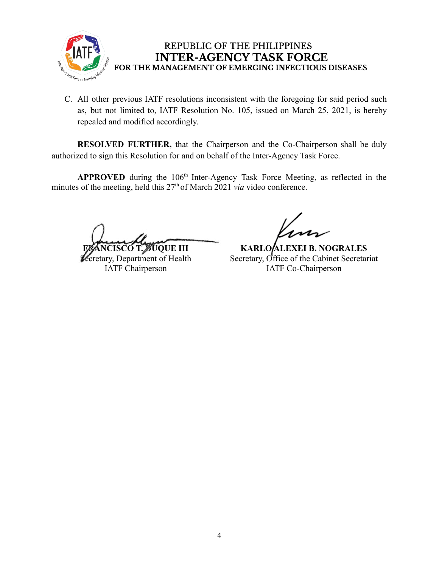

C. All other previous IATF resolutions inconsistent with the foregoing for said period such as, but not limited to, IATF Resolution No. 105, issued on March 25, 2021, is hereby repealed and modified accordingly.

**RESOLVED FURTHER,** that the Chairperson and the Co-Chairperson shall be duly authorized to sign this Resolution for and on behalf of the Inter-Agency Task Force.

APPROVED during the 106<sup>th</sup> Inter-Agency Task Force Meeting, as reflected in the minutes of the meeting, held this 27<sup>th</sup> of March 2021 *via* video conference.

**FRANCISCO T. ZUQUE III** 

**Zecretary, Department of Health** IATF Chairperson

**KARLO ALEXEI B. NOGRALES** Secretary, Office of the Cabinet Secretariat IATF Co-Chairperson